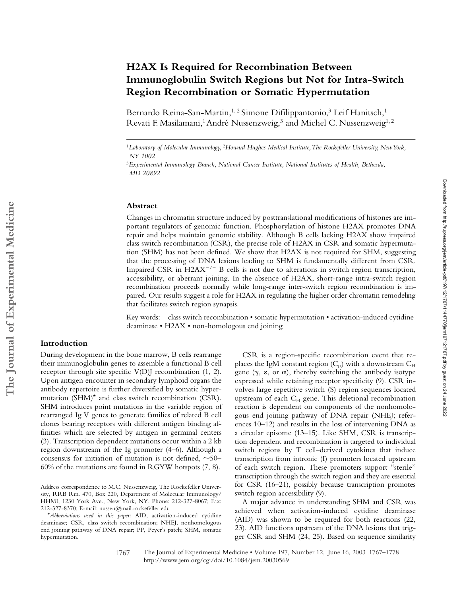# **H2AX Is Required for Recombination Between Immunoglobulin Switch Regions but Not for Intra-Switch Region Recombination or Somatic Hypermutation**

Bernardo Reina-San-Martin,<sup>1,2</sup> Simone Difilippantonio,<sup>3</sup> Leif Hanitsch,<sup>1</sup> Revati F. Masilamani,<sup>1</sup> André Nussenzweig,<sup>3</sup> and Michel C. Nussenzweig<sup>1,2</sup>

#### **Abstract**

Changes in chromatin structure induced by posttranslational modifications of histones are important regulators of genomic function. Phosphorylation of histone H2AX promotes DNA repair and helps maintain genomic stability. Although B cells lacking H2AX show impaired class switch recombination (CSR), the precise role of H2AX in CSR and somatic hypermutation (SHM) has not been defined. We show that H2AX is not required for SHM, suggesting that the processing of DNA lesions leading to SHM is fundamentally different from CSR. Impaired CSR in H2AX $^{-/-}$  B cells is not due to alterations in switch region transcription, accessibility, or aberrant joining. In the absence of H2AX, short-range intra-switch region recombination proceeds normally while long-range inter-switch region recombination is impaired. Our results suggest a role for H2AX in regulating the higher order chromatin remodeling that facilitates switch region synapsis.

Key words: class switch recombination • somatic hypermutation • activation-induced cytidine deaminase • H2AX • non-homologous end joining

## **Introduction**

During development in the bone marrow, B cells rearrange their immunoglobulin genes to assemble a functional B cell receptor through site specific V(D)J recombination (1, 2). Upon antigen encounter in secondary lymphoid organs the antibody repertoire is further diversified by somatic hypermutation (SHM)\* and class switch recombination (CSR). SHM introduces point mutations in the variable region of rearranged Ig V genes to generate families of related B cell clones bearing receptors with different antigen binding affinities which are selected by antigen in germinal centers (3). Transcription dependent mutations occur within a 2 kb region downstream of the Ig promoter (4–6). Although a consensus for initiation of mutation is not defined,  $\sim$ 50– 60% of the mutations are found in RGYW hotspots (7, 8).

CSR is a region-specific recombination event that replaces the IgM constant region  $(C_{\mu})$  with a downstream  $C_{\rm H}$ gene  $(\gamma, \varepsilon, \text{ or } \alpha)$ , thereby switching the antibody isotype expressed while retaining receptor specificity (9). CSR involves large repetitive switch (S) region sequences located upstream of each  $C_H$  gene. This deletional recombination reaction is dependent on components of the nonhomologous end joining pathway of DNA repair (NHEJ; references 10–12) and results in the loss of intervening DNA as a circular episome (13–15). Like SHM, CSR is transcription dependent and recombination is targeted to individual switch regions by T cell–derived cytokines that induce transcription from intronic (I) promoters located upstream of each switch region. These promoters support "sterile" transcription through the switch region and they are essential for CSR (16–21), possibly because transcription promotes switch region accessibility (9).

A major advance in understanding SHM and CSR was achieved when activation-induced cytidine deaminase (AID) was shown to be required for both reactions (22, 23). AID functions upstream of the DNA lesions that trigger CSR and SHM (24, 25). Based on sequence similarity

<sup>1</sup>*Laboratory of Molecular Immunology,* <sup>2</sup>*Howard Hughes Medical Institute, The Rockefeller University, New York, NY 1002*

<sup>3</sup>*Experimental Immunology Branch, National Cancer Institute, National Institutes of Health, Bethesda, MD 20892*

Address correspondence to M.C. Nussenzweig, The Rockefeller University, RRB Rm. 470, Box 220, Department of Molecular Immunology/ HHMI, 1230 York Ave., New York, NY. Phone: 212-327-8067; Fax: 212-327-8370; E-mail: nussen@mail.rockefeller.edu

<sup>\*</sup>*Abbreviations used in this paper:* AID, activation-induced cytidine deaminase; CSR, class switch recombination; NHEJ, nonhomologous end joining pathway of DNA repair; PP, Peyer's patch; SHM, somatic hypermutation.

The Journal of Experimental Medicine • Volume 197, Number 12, June 16, 2003 1767–1778 http://www.jem.org/cgi/doi/10.1084/jem.20030569 1767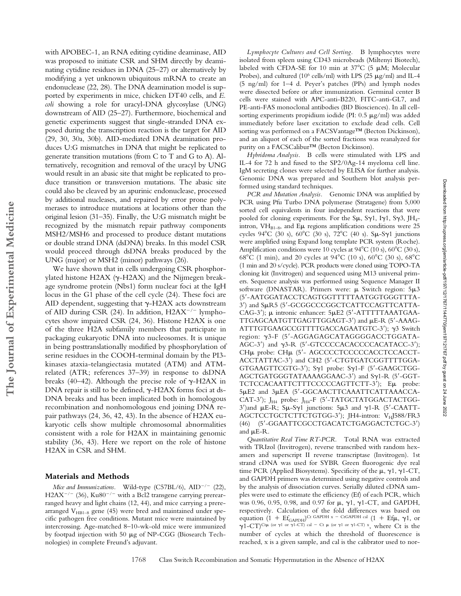with APOBEC-1, an RNA editing cytidine deaminase, AID was proposed to initiate CSR and SHM directly by deaminating cytidine residues in DNA (25–27) or alternatively by modifying a yet unknown ubiquitous mRNA to create an endonuclease (22, 28). The DNA deamination model is supported by experiments in mice, chicken DT40 cells, and *E. coli* showing a role for uracyl-DNA glycosylase (UNG) downstream of AID (25–27). Furthermore, biochemical and genetic experiments suggest that single-stranded DNA exposed during the transcription reaction is the target for AID (29, 30, 30a, 30b). AID-mediated DNA deamination produces U:G mismatches in DNA that might be replicated to generate transition mutations (from C to T and G to A). Alternatively, recognition and removal of the uracyl by UNG would result in an abasic site that might be replicated to produce transition or transversion mutations. The abasic site could also be cleaved by an apurinic endonuclease, processed by additional nucleases, and repaired by error prone polymerases to introduce mutations at locations other than the original lesion (31–35). Finally, the U:G mismatch might be recognized by the mismatch repair pathway components MSH2/MSH6 and processed to produce distant mutations or double strand DNA (dsDNA) breaks. In this model CSR would proceed through dsDNA breaks produced by the UNG (major) or MSH2 (minor) pathways (26).

We have shown that in cells undergoing CSR phosphorylated histone H2AX ( $\gamma$ -H2AX) and the Nijmegen breakage syndrome protein (Nbs1) form nuclear foci at the IgH locus in the G1 phase of the cell cycle (24). These foci are AID dependent, suggesting that  $\gamma$ -H2AX acts downstream of AID during CSR (24). In addition, H2AX<sup>-/-</sup> lymphocytes show impaired CSR (24, 36). Histone H2AX is one of the three H2A subfamily members that participate in packaging eukaryotic DNA into nucleosomes. It is unique in being posttranslationally modified by phosphorylation of serine residues in the COOH-terminal domain by the PI3 kinases ataxia-telangiectasia mutated (ATM) and ATMrelated (ATR; references 37–39) in response to dsDNA breaks (40–42). Although the precise role of  $\gamma$ -H2AX in DNA repair is still to be defined,  $\gamma$ -H2AX forms foci at ds-DNA breaks and has been implicated both in homologous recombination and nonhomologous end joining DNA repair pathways (24, 36, 42, 43). In the absence of H2AX eukaryotic cells show multiple chromosomal abnormalities consistent with a role for H2AX in maintaining genomic stability (36, 43). Here we report on the role of histone H2AX in CSR and SHM.

### **Materials and Methods**

Mice and Immunizations. Wild-type  $(C57BL/6)$ ,  $AID^{-/-}$  (22),  $H2AX^{-/-}$  (36),  $Ku80^{-/-}$  with a Bcl2 transgene carrying prerearranged heavy and light chains (12, 44), and mice carrying a prerearranged  $V_{HB1-8}$  gene (45) were bred and maintained under specific pathogen free conditions. Mutant mice were maintained by intercrossing. Age-matched 8–10-wk-old mice were immunized by footpad injection with 50  $\mu$ g of NP-CGG (Biosearch Technologies) in complete Freund's adjuvant.

*Lymphocyte Cultures and Cell Sorting.* B lymphocytes were isolated from spleen using CD43 microbeads (Miltenyi Biotech), labeled with CFDA-SE for 10 min at  $37^{\circ}$ C (5  $\mu$ M; Molecular Probes), and cultured (10<sup>6</sup> cells/ml) with LPS (25  $\mu$ g/ml) and IL-4 (5 ng/ml) for 1–4 d. Peyer's patches (PPs) and lymph nodes were dissected before or after immunization. Germinal center B cells were stained with APC-anti-B220, FITC-anti-GL7, and PE-anti-FAS monoclonal antibodies (BD Biosciences). In all cellsorting experiments propidium iodide (PI:  $0.5 \mu g/ml$ ) was added immediately before laser excitation to exclude dead cells. Cell sorting was performed on a FACSVantage™ (Becton Dickinson), and an aliquot of each of the sorted fractions was reanalyzed for purity on a FACSCalibur™ (Becton Dickinson).

*Hybridoma Analysis.* B cells were stimulated with LPS and IL-4 for 72 h and fused to the SP2/0Ag-14 myeloma cell line. IgM secreting clones were selected by ELISA for further analysis. Genomic DNA was prepared and Southern blot analysis performed using standard techniques.

*PCR and Mutation Analysis.* Genomic DNA was amplified by PCR using Pfu Turbo DNA polymerase (Stratagene) from 5,000 sorted cell equivalents in four independent reactions that were pooled for cloning experiments. For the S $\mu$ , S $\gamma$ 1, I $\gamma$ 1, S $\gamma$ 3, JH<sub>4</sub>intron,  $VH_{B1-8}$ , and E<sub>µ</sub> regions amplification conditions were 25 cycles 94°C (30 s), 60°C (30 s), 72°C (40 s). S $\mu$ -S $\gamma$ 1 junctions were amplified using Expand long template PCR system (Roche). Amplification conditions were 10 cycles at  $94^{\circ}$ C (10 s),  $60^{\circ}$ C (30 s), 68°C (1 min), and 20 cycles at 94°C (10 s), 60°C (30 s), 68°C (1 min and 20 s/cycle). PCR products were cloned using TOPO-TA cloning kit (Invitrogen) and sequenced using M13 universal primers. Sequence analysis was performed using Sequence Manager II software (DNASTAR). Primers were:  $\mu$  Switch region:  $5\mu3$ (5-AATGGATACCTCAGTGGTTTTTAATGGTGGGTTTA-3') and SµR5 (5'-GCGGCCCGGCTCATTCCAGTTCATTA-CAG-3');  $\mu$  intronic enhancer:  $5\mu E2$  (5'-ATTTTTAAATGAA-TTGAGCAATGTTGAGTTGGAGT-3') and µE-R (5'-AAAG-ATTTGTGAAGCCGTTTTGACCAGAATGTC-3');  $\gamma$ 3 Switch region: γ3-F (5'-AGGAGAGCATAGGGGACCTGGATA-AGC-3') and  $\gamma$ 3-R (5'-GTCCCCACACCCCACATACC-3'); CHµ probe: CHµ (5'- AGCCCCTCCCCCACCTCCACCT-ACCTATTAC-3) and CH2 (5-CTGTGATCGGTTTTGGA-GTGAAGTTCGTG-3'); Sy1 probe: Sy1-F (5'-GAAGCTGG-AGCTGATGGGTATAAAAGGAAC-3') and Sy1-R (5'-GGT-TCTCCACAATTCTTTCCCCCAGTTCTT-3'); Eµ probe: 5µE2 and 3µEA (5'-GGCAACTTCAAATTCATTAAACCA-CAT-3');  $J_{H4}$  probe:  $J_{H4}$ -F (5'-TATGCTATGGACTACTGG- $3'$ )and  $\mu$ E-R; S $\mu$ -S $\gamma$ 1 junctions: 5 $\mu$ 3 and  $\gamma$ 1-R (5'-CAATT-AGCTCCTGCTCTTCTGTGG-3'); JH4-intron: VHJ588/FR3 (46) (5-GGAATTCGCCTGACATCTGAGGACTCTGC-3) and  $\mu$ E-R.

*Quantitative Real Time RT-PCR.* Total RNA was extracted with TRIzol (Invitrogen), reverse transcribed with random hexamers and superscript II reverse transcriptase (Invitrogen). 1st strand cDNA was used for SYBR Green fluorogenic dye real time PCR (Applied Biosystems). Specificity of the  $\mu$ ,  $\gamma$ 1,  $\gamma$ 1-CT, and GAPDH primers was determined using negative controls and by the analysis of dissociation curves. Serially diluted cDNA samples were used to estimate the efficiency (Ef) of each PCR, which was 0.96, 0.95, 0.98, and 0.97 for  $\mu$ ,  $\gamma$ 1,  $\gamma$ 1-CT, and GAPDH, respectively. Calculation of the fold differences was based on equation  $(1 + Ef_{\text{GAPDH}})^{\text{Ct GAPDH x - CtGAPDH cal}} (1 + Ef\mu, \gamma 1, \text{ or }$  $\gamma$ 1-CT)<sup>Ctµ</sup> (or  $\gamma$ 1 or  $\gamma$ 1-CT) cal - Ct µ (or  $\gamma$ 1 or  $\gamma$ 1-CT) x, where Ct is the number of cycles at which the threshold of fluorescence is reached, x is a given sample, and cal is the calibrator used to nor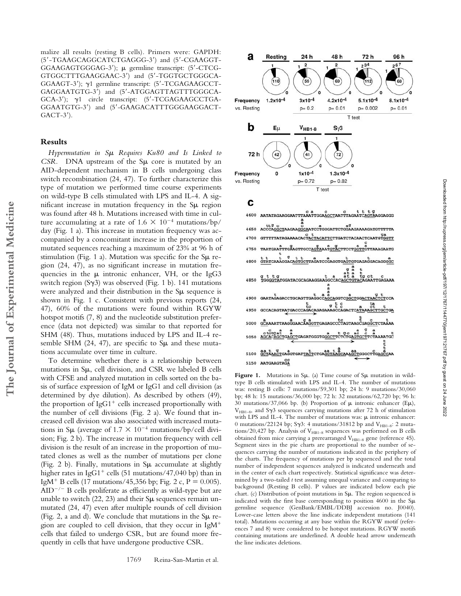malize all results (resting B cells). Primers were: GAPDH: (5-TGAAGCAGGCATCTGAGGG-3) and (5-CGAAGGT-GGAAGAGTGGGAG-3); germline transcript: (5-CTCG-GTGGCTTTGAAGGAAC-3) and (5-TGGTGCTGGGCA-GGAAGT-3');  $\gamma$ 1 germline transcript: (5'-TCGAGAAGCCT-GAGGAATGTG-3) and (5-ATGGAGTTAGTTTGGGCA-GCA-3');  $\gamma$ 1 circle transcript: (5'-TCGAGAAGCCTGA-GGAATGTG-3) and (5-GAAGACATTTGGGAAGGACT- $GACT-3$ <sup>'</sup>).

### **Results**

*Hypermutation in S Requires Ku80 and Is Linked to CSR.* DNA upstream of the Su core is mutated by an AID-dependent mechanism in B cells undergoing class switch recombination (24, 47). To further characterize this type of mutation we performed time course experiments on wild-type B cells stimulated with LPS and IL-4. A significant increase in mutation frequency in the  $\text{S}\mu$  region was found after 48 h. Mutations increased with time in culture accumulating at a rate of  $1.6 \times 10^{-4}$  mutations/bp/ day (Fig. 1 a). This increase in mutation frequency was accompanied by a concomitant increase in the proportion of mutated sequences reaching a maximum of 23% at 96 h of stimulation (Fig. 1 a). Mutation was specific for the  $S\mu$  region (24, 47), as no significant increase in mutation frequencies in the  $\mu$  intronic enhancer, VH, or the IgG3 switch region (S $\gamma$ 3) was observed (Fig. 1 b). 141 mutations were analyzed and their distribution in the  $S\mu$  sequence is shown in Fig. 1 c. Consistent with previous reports (24, 47), 60% of the mutations were found within RGYW hotspot motifs (7, 8) and the nucleotide substitution preference (data not depicted) was similar to that reported for SHM (48). Thus, mutations induced by LPS and IL-4 resemble SHM (24, 47), are specific to  $S\mu$  and these mutations accumulate over time in culture.

To determine whether there is a relationship between mutations in  $S\mu$ , cell division, and CSR we labeled B cells with CFSE and analyzed mutation in cells sorted on the basis of surface expression of IgM or IgG1 and cell division (as determined by dye dilution). As described by others (49), the proportion of  $IgG1^+$  cells increased proportionally with the number of cell divisions (Fig. 2 a). We found that increased cell division was also associated with increased mutations in S $\mu$  (average of 1.7  $\times$  10<sup>-4</sup> mutations/bp/cell division; Fig. 2 b). The increase in mutation frequency with cell division is the result of an increase in the proportion of mutated clones as well as the number of mutations per clone (Fig. 2 b). Finally, mutations in  $\text{S}\mu$  accumulate at slightly higher rates in IgG1<sup>+</sup> cells (51 mutations/47,040 bp) than in IgM<sup>+</sup> B cells (17 mutations/45,356 bp; Fig. 2 c, P = 0.005).  $AID^{-/-}$  B cells proliferate as efficiently as wild-type but are unable to switch  $(22, 23)$  and their S $\mu$  sequences remain unmutated (24, 47) even after multiple rounds of cell division (Fig. 2, a and d). We conclude that mutations in the  $\text{S}\mu$  region are coupled to cell division, that they occur in IgM cells that failed to undergo CSR, but are found more frequently in cells that have undergone productive CSR.



## c

 $\begin{array}{ccccc} & c & a & c & c & t & t & g\\ \texttt{AATAGAAGGAATTTAAATTGGAGCTAATTTAGAATCAGGAGGGG} \end{array}$ 4600 4650  $\begin{array}{cc} & c & t \\[-2mm] {\tt GTTTTTATAGAAAACACTACTACATTC} \end{array}$ 4700 4750 ġ 4800 **GTATCA** a<br>a<br>a g t t g<br><u>TGGGGTA</u>TGGATACGCAGAAGGP 4850 GAATAGAGACCTGCAGTTGAGGCCAGCAGGTCGCCTGGACTAACTCTCCAGA 4900 E g E C a tat t<br>GCCACAGTAATGACCCAGACAGAGAAAGCCAGACTCATAAAGCTTGCTGA 4950 GCAAAATTAAGGGAACAAGGTTGAGAGCCCTAGT c<br>GGCTCTAAAA 5000 **AATGC TGAGATGGGTGGGCTT** 5050 aa t g<br>GCTAAACTGAGGTGATTACTCTGAGGTAAGCAAACCTGGGCTTGAGCCAA 5100 5150 AATGAAGTAGA

Figure 1. Mutations in Sµ. (a) Time course of Sµ mutation in wildtype B cells stimulated with LPS and IL-4. The number of mutations was: resting B cells: 7 mutations/59,301 bp; 24 h: 9 mutations/30,060 bp; 48 h: 15 mutations/36,000 bp; 72 h: 32 mutations/62,720 bp; 96 h: 30 mutations/37,066 bp. (b) Proportion of  $\mu$  intronic enhancer (E $\mu$ ),  $V_{HB1-8}$ , and S $\gamma$ 3 sequences carrying mutations after 72 h of stimulation with LPS and IL-4. The number of mutations was:  $\mu$  intronic enhancer: 0 mutations/22124 bp; S $\gamma$ 3: 4 mutations/31812 bp and V<sub>HB1-8</sub>: 2 mutations/20,427 bp. Analysis of  $V_{HB1-8}$  sequences was performed on B cells obtained from mice carrying a prerearranged V<sub>HB1-8</sub> gene (reference 45). Segment sizes in the pie charts are proportional to the number of sequences carrying the number of mutations indicated in the periphery of the charts. The frequency of mutations per bp sequenced and the total number of independent sequences analyzed is indicated underneath and in the center of each chart respectively. Statistical significance was determined by a two-tailed *t* test assuming unequal variance and comparing to background (Resting B cells). P values are indicated below each pie chart. (c) Distribution of point mutations in  $S\mu$ . The region sequenced is indicated with the first base corresponding to position 4600 in the  $S\mu$ germline sequence (GenBank/EMBL/DDBJ accession no. J0040). Lower-case letters above the line indicate independent mutations (141 total). Mutations occurring at any base within the RGYW motif (references 7 and 8) were considered to be hotspot mutations. RGYW motifs containing mutations are underlined. A double head arrow underneath the line indicates deletions.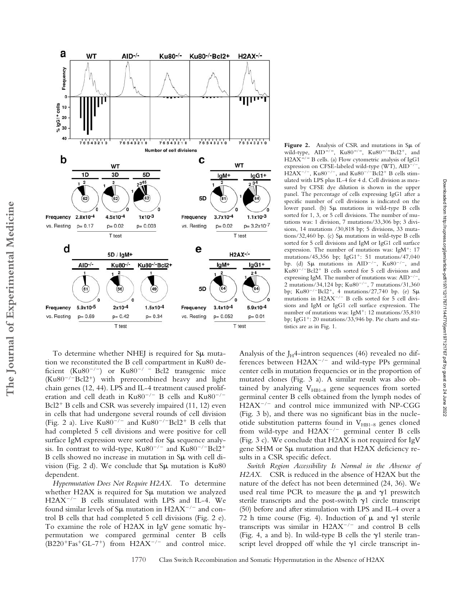

To determine whether NHEJ is required for Su mutation we reconstituted the B cell compartment in Ku80 deficient (Ku80<sup>-/-</sup>) or Ku80<sup>-/-</sup> Bcl2 transgenic mice  $(Ku80^{-/-}Bcl2^{+})$  with prerecombined heavy and light chain genes (12, 44). LPS and IL-4 treatment caused proliferation and cell death in  $Ku80^{-/-}$  B cells and  $Ku80^{-/-}$  $Bcl2<sup>+</sup>$  B cells and CSR was severely impaired (11, 12) even in cells that had undergone several rounds of cell division (Fig. 2 a). Live Ku80<sup>-/-</sup> and Ku80<sup>-/-</sup>Bcl2<sup>+</sup> B cells that had completed 5 cell divisions and were positive for cell surface IgM expression were sorted for  $\text{S}\mu$  sequence analysis. In contrast to wild-type,  $Ku80^{-/-}$  and  $Ku80^{-/-}Bcl2^{+}$ B cells showed no increase in mutation in  $S\mu$  with cell division (Fig. 2 d). We conclude that  $S\mu$  mutation is Ku80 dependent.

**The Journal of Experimental Medicine**

The Journal of Experimental Medicine

*Hypermutation Does Not Require H2AX.* To determine whether H2AX is required for  $\text{S}\mu$  mutation we analyzed H2AX-/- B cells stimulated with LPS and IL-4. We found similar levels of S $\mu$  mutation in H2AX<sup>-/-</sup> and control B cells that had completed 5 cell divisions (Fig. 2 e). To examine the role of H2AX in IgV gene somatic hypermutation we compared germinal center B cells  $(B220^{+}Fas^{+}GL-7^{+})$  from  $H2AX^{-/-}$  and control mice. **Figure 2.** Analysis of CSR and mutations in  $S\mu$  of wild-type, AID<sup>-/-</sup>, Ku80<sup>-/-</sup>, Ku80<sup>-/-</sup>Bcl2<sup>+</sup>, and H2AX<sup>-/-</sup> B cells. (a) Flow cytometric analysis of IgG1 expression on CFSE-labeled wild-type (WT), AID<sup>-/-</sup>,  $H2AX^{-/-}$ , Ku $80^{-/-}$ , and Ku $80^{-/-}$ Bcl2<sup>+</sup> B cells stimulated with LPS plus IL-4 for 4 d. Cell division as measured by CFSE dye dilution is shown in the upper panel. The percentage of cells expressing IgG1 after a specific number of cell divisions is indicated on the lower panel. (b)  $S\mu$  mutations in wild-type B cells sorted for 1, 3, or 5 cell divisions. The number of mutations was: 1 division, 7 mutations/33,306 bp; 3 divisions, 14 mutations /30,818 bp; 5 divisions, 33 mutations/32,460 bp. (c)  $\text{S}\mu$  mutations in wild-type B cells sorted for 5 cell divisions and IgM or IgG1 cell surface expression. The number of mutations was:  $IgM^+$ : 17 mutations/45,356 bp; IgG1<sup>+</sup>: 51 mutations/47,040 bp. (d) Su mutations in  $AID^{-/-}$ ,  $Ku80^{-/-}$ , and Ku80<sup>-/-</sup>Bcl2<sup>+</sup> B cells sorted for 5 cell divisions and expressing IgM. The number of mutations was: AID<sup>-/-</sup> , 2 mutations/34,124 bp; Ku80<sup>-/-</sup>, 7 mutations/31,360 bp; Ku80<sup>-/-</sup>Bcl2<sup>+</sup>, 4 mutations/27,740 bp. (e) S $\mu$ mutations in H2AX<sup>-/-</sup> B cells sorted for 5 cell divisions and IgM or IgG1 cell surface expression. The number of mutations was: IgM<sup>+</sup>: 12 mutations/35,810 bp; IgG1<sup>+</sup>: 20 mutations/33,946 bp. Pie charts and statistics are as in Fig. 1.

Analysis of the J $_H$ 4-intron sequences (46) revealed no differences between  $H2AX^{-/-}$  and wild-type PPs germinal center cells in mutation frequencies or in the proportion of mutated clones (Fig. 3 a). A similar result was also obtained by analyzing  $V_{HB1-8}$  gene sequences from sorted germinal center B cells obtained from the lymph nodes of H2AX<sup>-/-</sup> and control mice immunized with NP-CGG (Fig. 3 b), and there was no significant bias in the nucleotide substitution patterns found in  $V_{HB1-8}$  genes cloned from wild-type and  $H2AX^{-/-}$  germinal center B cells (Fig. 3 c). We conclude that H2AX is not required for IgV gene SHM or  $\text{S}\mu$  mutation and that H2AX deficiency results in a CSR specific defect.

*Switch Region Accessibility Is Normal in the Absence of H2AX.* CSR is reduced in the absence of H2AX but the nature of the defect has not been determined (24, 36). We used real time PCR to measure the  $\mu$  and  $\gamma$ 1 preswitch sterile transcripts and the post-switch  $\gamma$ 1 circle transcript (50) before and after stimulation with LPS and IL-4 over a 72 h time course (Fig. 4). Induction of  $\mu$  and  $\gamma$ 1 sterile transcripts was similar in  $H2AX^{-/-}$  and control B cells (Fig. 4, a and b). In wild-type B cells the  $\gamma$ 1 sterile transcript level dropped off while the  $\gamma$ 1 circle transcript in-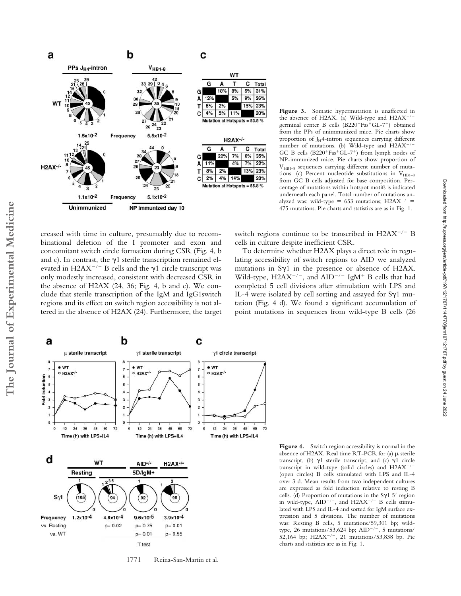

**Figure 3.** Somatic hypermutation is unaffected in the absence of H2AX. (a) Wild-type and H2AX-/germinal center B cells (B220+Fas<sup>+</sup>GL-7+) obtained from the PPs of unimmunized mice. Pie charts show proportion of  $J_H$ 4-intron sequences carrying different number of mutations. (b) Wild-type and H2AX<sup>-/-</sup> GC B cells  $(B220+Fa<sup>+</sup>GL-7<sup>+</sup>)$  from lymph nodes of NP-immunized mice. Pie charts show proportion of  $V<sub>HR1–8</sub>$  sequences carrying different number of mutations. (c) Percent nucleotide substitutions in  $V_{HB1-8}$ from GC B cells adjusted for base composition. Percentage of mutations within hotspot motifs is indicated underneath each panel. Total number of mutations analyzed was: wild-type = 653 mutations;  $H2AX^{-/-}$  = 475 mutations. Pie charts and statistics are as in Fig. 1.

creased with time in culture, presumably due to recombinational deletion of the I promoter and exon and concomitant switch circle formation during CSR (Fig. 4, b and c). In contrast, the  $\gamma$ 1 sterile transcription remained elevated in H2AX<sup> $-/-$ </sup> B cells and the  $\gamma$ 1 circle transcript was only modestly increased, consistent with decreased CSR in the absence of H2AX (24, 36; Fig. 4, b and c). We conclude that sterile transcription of the IgM and IgG1switch regions and its effect on switch region accessibility is not altered in the absence of H2AX (24). Furthermore, the target

switch regions continue to be transcribed in  $H2AX^{-/-}B$ cells in culture despite inefficient CSR.

To determine whether H2AX plays a direct role in regulating accessibility of switch regions to AID we analyzed mutations in  $Sy1$  in the presence or absence of H2AX. Wild-type,  $H2AX^{-/-}$ , and  $AID^{-/-}$  IgM<sup>+</sup> B cells that had completed 5 cell divisions after stimulation with LPS and IL-4 were isolated by cell sorting and assayed for  $Sy1$  mutation (Fig. 4 d). We found a significant accumulation of point mutations in sequences from wild-type B cells (26



1771 Reina-San-Martin et al.

**Figure 4.** Switch region accessibility is normal in the absence of H2AX. Real time RT-PCR for (a)  $\mu$  sterile transcript, (b)  $\gamma$ 1 sterile transcript, and (c)  $\gamma$ 1 circle transcript in wild-type (solid circles) and  $H2AX^{-/-}$ (open circles) B cells stimulated with LPS and IL-4 over 3 d. Mean results from two independent cultures are expressed as fold induction relative to resting B cells. (d) Proportion of mutations in the  $S_{\gamma}15'$  region in wild-type,  $AID^{-/-}$ , and  $H2AX^{-/-}$  B cells stimulated with LPS and IL-4 and sorted for IgM surface expression and 5 divisions. The number of mutations was: Resting B cells, 5 mutations/59,301 bp; wildtype, 26 mutations/53,624 bp;  $AID^{-/-}$ , 5 mutations/ 52,164 bp; H2AX<sup>-/-</sup>, 21 mutations/53,838 bp. Pie charts and statistics are as in Fig. 1.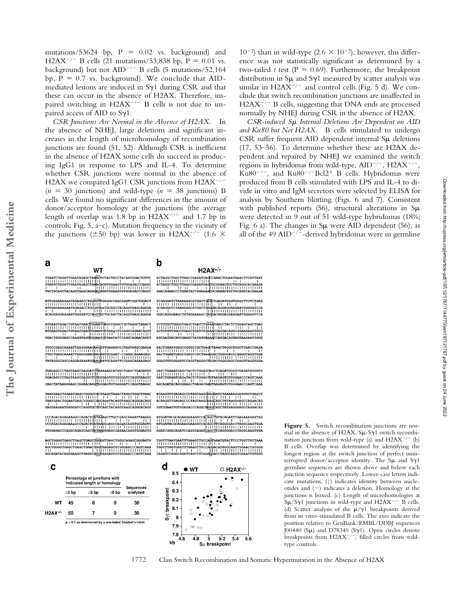mutations/53624 bp,  $P = 0.02$  vs. background) and H2AX<sup>-/-</sup> B cells (21 mutations/53,838 bp, P = 0.01 vs. background) but not AID-/- B cells (5 mutations/52,164 bp,  $P = 0.7$  vs. background). We conclude that AIDmediated lesions are induced in  $Syl$  during CSR and that these can occur in the absence of H2AX. Therefore, impaired switching in H2AX<sup>-/-</sup> B cells is not due to impaired access of AID to  $S_{\gamma 1}$ .

*CSR Junctions Are Normal in the Absence of H2AX.* In the absence of NHEJ, large deletions and significant increases in the length of microhomology of recombination junctions are found (51, 52). Although CSR is inefficient in the absence of H2AX some cells do succeed in producing IgG1 in response to LPS and IL-4. To determine whether CSR junctions were normal in the absence of H2AX we compared IgG1 CSR junctions from H2AX-/- $(n = 30$  junctions) and wild-type  $(n = 38$  junctions) B cells. We found no significant differences in the amount of donor/acceptor homology at the junctions (the average length of overlap was 1.8 bp in  $H2AX^{-/-}$  and 1.7 bp in controls; Fig. 5, a–c). Mutation frequency in the vicinity of the junctions ( $\pm 50$  bp) was lower in H2AX<sup>-/-</sup> (1.6  $\times$ 

 $\mathbf b$ 

 $10^{-2}$ ) than in wild-type (2.6  $\times$  10<sup>-2</sup>); however, this difference was not statistically significant as determined by a two-tailed *t* test ( $P = 0.69$ ). Furthermore, the breakpoint distribution in  $S\mu$  and  $S\gamma1$  measured by scatter analysis was similar in  $H2AX^{-/-}$  and control cells (Fig. 5 d). We conclude that switch recombination junctions are unaffected in H2AX<sup>-/-</sup> B cells, suggesting that DNA ends are processed normally by NHEJ during CSR in the absence of H2AX.

CSR-induced S<sub>*µ*</sub> Internal Deletions Are Dependent on AID *and Ku80 but Not H2AX.* B cells stimulated to undergo  $CSR$  suffer frequent AID dependent internal  $S\mu$  deletions (17, 53–56). To determine whether these are H2AX dependent and repaired by NHEJ we examined the switch regions in hybridomas from wild-type, AID<sup>-/-</sup>, H2AX<sup>-/-</sup>, Ku80<sup>-/-</sup>, and Ku80<sup>-/-</sup>Bcl2<sup>+</sup> B cells. Hybridomas were produced from B cells stimulated with LPS and IL-4 to divide in vitro and IgM secretors were selected by ELISA for analysis by Southern blotting (Figs. 6 and 7). Consistent with published reports  $(56)$ , structural alterations in S $\mu$ were detected in 9 out of 51 wild-type hybridomas (18%; Fig. 6 a). The changes in  $S\mu$  were AID dependent (56), as all of the 49 AID<sup>-/-</sup>-derived hybridomas were in germline

| TTAATCTAGGTTGAATAGAGCTAAACTCTACTGCCTACAATGGACTGTTC<br>TTAATCTAGGTTGAATAGAGCTAAACAGGTGGAAGTGTGGAGACCCAGGC<br>,,,,,,,,,,,,,,,,,,,,,,,,,<br>$\mathbf{H}$ and $\mathbf{H}$<br>TGCTGCAGCTACAGGTAAGCAGGdACAGGTGGAAGTGTGGAGACCCAGGC                                               | ACTAGGCTGGCTTAACCGAGATGAGCCAAACTGGAATGAACTTCATTAA<br>$11 - 1$<br>ACTAGGCTGGCTTAACCGAGATGAGTGCGGAACTGCTGCAGGCACAAAG<br>GGACAGAACCCTGAATACTGGAAAATGCGGAACTGCTGCAGGCACAAAG                                                                  |
|----------------------------------------------------------------------------------------------------------------------------------------------------------------------------------------------------------------------------------------------------------------------------|------------------------------------------------------------------------------------------------------------------------------------------------------------------------------------------------------------------------------------------|
| ATTGAGAAAGAATAGAGACCTGCAGTTGAGGCCAGCAGGTCGGCTGGACT<br>,,,,,,,,,,,,,,,,,,,,,,,,,,,<br>and the contract of the contract of<br>ATTGAGAAAGAATAGAGACCTGCGGTGaTGCAGCTACAGGTAAGCAGGGA<br>11111 - 11131111111111111111111111<br>ACAGGAGGAAGAATGGGGATCCAGGTGCTGCAGCTACAGGTAAGCAGGGA | GCGAGGCTCTAAAAAGCATGGCTGAGGACAGGAGGAAGAATGGGGATCC<br>,,,,,,,,,,,,,,,,,,,,,,,,,<br>GGACAGGGAAGCTATAGGAAAACCAGGACAGGAGGAAGAATGGGGATCC                                                                                                      |
| ATGAAGTAGACTGTAATGAACTGGAATGAGCCGGGCCGCTAAGCTAACT<br>$\mathbf{1}$<br>ATGAAGTAGACTGTAATGAACTGGAATGTGAAGtTCCAGGCAGAACAGGT<br>н<br>GGACTGGGGAGCCAAGGTAGGTGGAATGTGAATATCCAGGCAGAACAGGT                                                                                         | GCTGTGTTGGGGTGAGCTGATCTGAAATGAGCTACTCTGGAGTAGCTGA<br>1111<br>$\mathbf{I}$<br>GCTGTGTTGGGGTGAGCTGATCTGAAACCAGGACAGGtGGAAGAATGGG<br>- 1111<br>$\mathbf{L}$<br>AGCAAGGACAGGGAAGCTATAGGAAAACCAGGACAGGAGGAAGAATGGG                            |
| TTGCCGAGCAAAATTAAGGGAACAAGGTTGAGAGCCCTAGTAAGCGAGGA<br>TTGCTGAGCAAAATTAAGGGAACAAGAATGCAGAT-CCAAACAGAAGAGC<br>$\mathbf{1}$ and $\mathbf{1}$ and $\mathbf{1}$<br>TATAGGGCAGCCAGGAGAAATGGAAGAATGCAGATTCCAAACAGAAGAGC                                                           | AACTGGAATGAGCtGGGCCGCTAAGGGACTGGGGAGtCAAGGTAGGTGG<br>11131111111 111111111111<br>and the state of the state of the state                                                                                                                 |
| TGAGAGCCCTAGTAAGCGAGGCTdTGGGAGTGTGGGGATCCAGGTAAGGC<br>,,,,,,,,,,,,,,,,,,,,,,,,,,,,<br>$\mathbf{H}$<br>CAGCTATAAGGGAGCCAGAACAGdTGGGAGTGTGGGGATCCAGGTAAGGC                                                                                                                   | GATCTGAAATGAGCTACTCTGGAGTAGCTGAGATGGGGTGAGATGGGGT<br>111<br>GATCTGAAATGAGaTACTCTGGAtTGTAAGAGTGTGGGAACCCAGTCAA<br>,,,,,,,,,,,,,,,,,,,,,,,,<br>$1 \cdot 1 \cdot 11 \cdot 11 \cdot 11$<br>AGCAGATACAGGGAAGCTGAGGCAGGTAAGAGTGTGGGAACCCAGTCAA |
| TAATGAACTGGAATGAGCtGGGCCGGCAGqTACAGGTAAGCAGGGACAGG<br>$\mathbf{1}$ and $\mathbf{1}$ and $\mathbf{1}$<br>GAGGAAGAATGGGGATCCAGGTGCTGCAGCTACAGGTAAGCAGGGACAGG                                                                                                                 | ACAAGGTTGAGAGCCCTAGTAAGOGAGGATCTAAAAAGCATGGCTGAGC<br>$\blacksquare$<br>ACAAGGTTGAGAGCCCTAGTAAGQGAGCAGCTATAgGGcAGCCAGqACA<br>the control of the control of<br>GGTGGAAGTGTGGAGACCCAGGCAGAGCAGCTATAAGGGAGCCAGAACA                           |
| CCCAGACAGAGAAGGCCAGACTOATAAAGCTTGCCGAGCAAAATTAAGGG                                                                                                                                                                                                                         |                                                                                                                                                                                                                                          |

WT

**The Journal of Experimental Medicine**

a

The Journal of Experimental Medicine



.<br>AgGC  $111111$ Τĭ .<br>AGATCGGGCAGATCCAGGCAGATCA ||||||||||||||||||||||||||||||||<br>TGGTTTAATGAATTTGAAGTTGCCAGGAACATGAGAAGTGGAACTGTGGGAACTGTGG<br>||||||||||||||||||||||||||||<br>CAGATCCAGGCAGATCAGCTTCAGGGGACCTAGGCAAGTGGAACTGTGGG d O H2AX-/- $\bullet$  WT  $8.5$ 8.4

 $H2AX^{-/-}$ **EATCACCOR** 



Figure 5. Switch recombination junctions are normal in the absence of H2AX.  $S\mu-S\gamma1$  switch recombination junctions from wild-type (a) and  $H2AX^{-/-}$  (b) B cells. Overlap was determined by identifying the longest region at the switch junction of perfect uninterrupted donor/acceptor identity. The  $S\mu$  and  $S\gamma1$ germline sequences are shown above and below each junction sequence respectively. Lower-case letters indicate mutations, (|) indicates identity between nucleotides and (-) indicates a deletion. Homology at the junctions is boxed. (c) Length of microhomologies at  $S\mu/S\gamma1$  junctions in wild-type and H2AX<sup>-/-</sup> B cells. (d) Scatter analysis of the  $\mu/\gamma1$  breakpoints derived from in vitro–stimulated B cells. The axes indicate the position relative to GenBank/EMBL/DDBJ sequences J00440 (S $\mu$ ) and D78340 (S $\gamma$ 1). Open circles denote breakpoints from H2AX<sup>-/-</sup>, filled circles from wildtype controls.

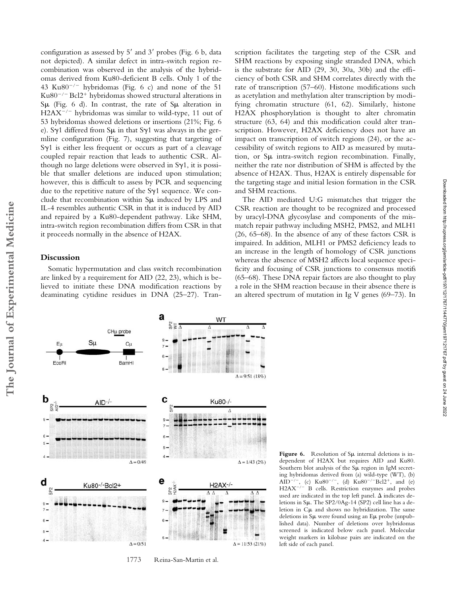configuration as assessed by  $5'$  and  $3'$  probes (Fig. 6 b, data not depicted). A similar defect in intra-switch region recombination was observed in the analysis of the hybridomas derived from Ku80-deficient B cells. Only 1 of the 43 Ku $80^{-/-}$  hybridomas (Fig. 6 c) and none of the 51  $Ku80^{-/-}$  Bcl2<sup>+</sup> hybridomas showed structural alterations in  $S\mu$  (Fig. 6 d). In contrast, the rate of  $S\mu$  alteration in H2AX<sup>-/-</sup> hybridomas was similar to wild-type, 11 out of 53 hybridomas showed deletions or insertions (21%; Fig. 6 e). Sy1 differed from S $\mu$  in that Sy1 was always in the germline configuration (Fig. 7), suggesting that targeting of  $S_{\gamma1}$  is either less frequent or occurs as part of a cleavage coupled repair reaction that leads to authentic CSR. Although no large deletions were observed in  $S_{\gamma}1$ , it is possible that smaller deletions are induced upon stimulation; however, this is difficult to assess by PCR and sequencing due to the repetitive nature of the  $Syl$  sequence. We conclude that recombination within  $S\mu$  induced by LPS and IL-4 resembles authentic CSR in that it is induced by AID and repaired by a Ku80-dependent pathway. Like SHM, intra-switch region recombination differs from CSR in that it proceeds normally in the absence of H2AX.

## **Discussion**

Somatic hypermutation and class switch recombination are linked by a requirement for AID (22, 23), which is believed to initiate these DNA modification reactions by deaminating cytidine residues in DNA (25–27). Transcription facilitates the targeting step of the CSR and SHM reactions by exposing single stranded DNA, which is the substrate for AID (29, 30, 30a, 30b) and the efficiency of both CSR and SHM correlates directly with the rate of transcription (57–60). Histone modifications such as acetylation and methylation alter transcription by modifying chromatin structure (61, 62). Similarly, histone H2AX phosphorylation is thought to alter chromatin structure (63, 64) and this modification could alter transcription. However, H2AX deficiency does not have an impact on transcription of switch regions (24), or the accessibility of switch regions to AID as measured by mutation, or Sµ intra-switch region recombination. Finally, neither the rate nor distribution of SHM is affected by the absence of H2AX. Thus, H2AX is entirely dispensable for the targeting stage and initial lesion formation in the CSR and SHM reactions.

The AID mediated U:G mismatches that trigger the CSR reaction are thought to be recognized and processed by uracyl-DNA glycosylase and components of the mismatch repair pathway including MSH2, PMS2, and MLH1 (26, 65–68). In the absence of any of these factors CSR is impaired. In addition, MLH1 or PMS2 deficiency leads to an increase in the length of homology of CSR junctions whereas the absence of MSH2 affects local sequence specificity and focusing of CSR junctions to consensus motifs (65–68). These DNA repair factors are also thought to play a role in the SHM reaction because in their absence there is an altered spectrum of mutation in Ig V genes (69–73). In



**Figure 6.** Resolution of  $S\mu$  internal deletions is independent of H2AX but requires AID and Ku80. Southern blot analysis of the  $S\mu$  region in IgM secreting hybridomas derived from (a) wild-type (WT), (b) AID<sup>-/-</sup>, (c) Ku80<sup>-/-</sup>, (d) Ku80<sup>-/-</sup>Bcl2<sup>+</sup>, and (e) H2AX<sup>-/-</sup> B cells. Restriction enzymes and probes used are indicated in the top left panel.  $\Delta$  indicates deletions in  $S\mu$ . The SP2/0Ag-14 (SP2) cell line has a deletion in  $C\mu$  and shows no hybridization. The same deletions in  $S\mu$  were found using an  $E\mu$  probe (unpublished data). Number of deletions over hybridomas screened is indicated below each panel. Molecular weight markers in kilobase pairs are indicated on the left side of each panel.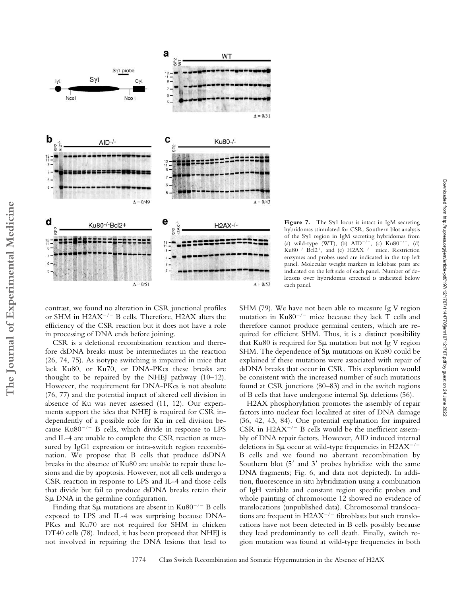

contrast, we found no alteration in CSR junctional profiles or SHM in H2AX<sup>-/-</sup> B cells. Therefore, H2AX alters the efficiency of the CSR reaction but it does not have a role in processing of DNA ends before joining.

**The Journal of Experimental Medicine**

The Journal of Experimental Medicine

CSR is a deletional recombination reaction and therefore dsDNA breaks must be intermediates in the reaction (26, 74, 75). As isotype switching is impaired in mice that lack Ku80, or Ku70, or DNA-PKcs these breaks are thought to be repaired by the NHEJ pathway (10–12). However, the requirement for DNA-PKcs is not absolute (76, 77) and the potential impact of altered cell division in absence of Ku was never assessed (11, 12). Our experiments support the idea that NHEJ is required for CSR independently of a possible role for Ku in cell division because Ku80<sup>-/-</sup> B cells, which divide in response to LPS and IL-4 are unable to complete the CSR reaction as measured by IgG1 expression or intra-switch region recombination. We propose that B cells that produce dsDNA breaks in the absence of Ku80 are unable to repair these lesions and die by apoptosis. However, not all cells undergo a CSR reaction in response to LPS and IL-4 and those cells that divide but fail to produce dsDNA breaks retain their  $S\mu$  DNA in the germline configuration.

Finding that S $\mu$  mutations are absent in Ku80<sup>-/-</sup> B cells exposed to LPS and IL-4 was surprising because DNA-PKcs and Ku70 are not required for SHM in chicken DT40 cells (78). Indeed, it has been proposed that NHEJ is not involved in repairing the DNA lesions that lead to

**Figure 7.** The S $\gamma$ 1 locus is intact in IgM secreting hybridomas stimulated for CSR. Southern blot analysis of the Sy1 region in IgM secreting hybridomas from (a) wild-type (WT), (b)  $AID^{-/-}$ , (c)  $Ku80^{-/-}$ , (d)  $Ku80^{-/-}Bc12^{+}$ , and (e)  $H2AX^{-/-}$  mice. Restriction enzymes and probes used are indicated in the top left panel. Molecular weight markers in kilobase pairs are indicated on the left side of each panel. Number of deletions over hybridomas screened is indicated below each panel.

SHM (79). We have not been able to measure Ig V region mutation in  $Ku80^{-/-}$  mice because they lack T cells and therefore cannot produce germinal centers, which are required for efficient SHM. Thus, it is a distinct possibility that Ku80 is required for  $S\mu$  mutation but not Ig V region SHM. The dependence of  $\text{S}\mu$  mutations on Ku80 could be explained if these mutations were associated with repair of dsDNA breaks that occur in CSR. This explanation would be consistent with the increased number of such mutations found at CSR junctions (80–83) and in the switch regions of B cells that have undergone internal  $\text{S}\mu$  deletions (56).

H2AX phosphorylation promotes the assembly of repair factors into nuclear foci localized at sites of DNA damage (36, 42, 43, 84). One potential explanation for impaired CSR in  $H2AX^{-/-}B$  cells would be the inefficient assembly of DNA repair factors. However, AID induced internal deletions in Su occur at wild-type frequencies in  $H2AX^{-/-}$ B cells and we found no aberrant recombination by Southern blot  $(5'$  and  $3'$  probes hybridize with the same DNA fragments; Fig. 6, and data not depicted). In addition, fluorescence in situ hybridization using a combination of IgH variable and constant region specific probes and whole painting of chromosome 12 showed no evidence of translocations (unpublished data). Chromosomal translocations are frequent in H2AX<sup>-/-</sup> fibroblasts but such translocations have not been detected in B cells possibly because they lead predominantly to cell death. Finally, switch region mutation was found at wild-type frequencies in both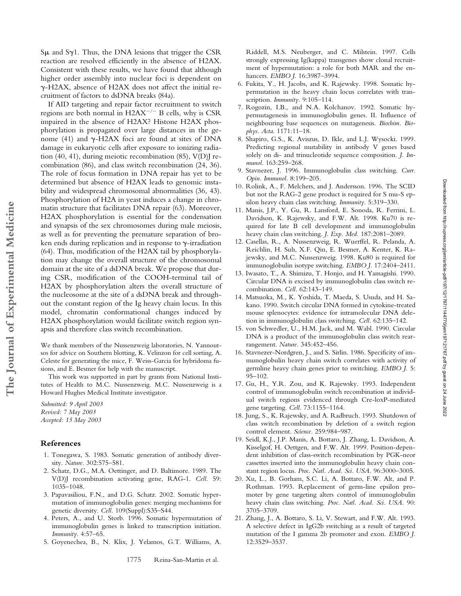$S\mu$  and  $S\gamma$ 1. Thus, the DNA lesions that trigger the CSR reaction are resolved efficiently in the absence of H2AX. Consistent with these results, we have found that although higher order assembly into nuclear foci is dependent on -H2AX, absence of H2AX does not affect the initial recruitment of factors to dsDNA breaks (84a).

If AID targeting and repair factor recruitment to switch regions are both normal in  $H2AX^{-/-}B$  cells, why is CSR impaired in the absence of H2AX? Histone H2AX phosphorylation is propagated over large distances in the genome (41) and  $\gamma$ -H2AX foci are found at sites of DNA damage in eukaryotic cells after exposure to ionizing radiation (40, 41), during meiotic recombination (85), V(D)J recombination (86), and class switch recombination (24, 36). The role of focus formation in DNA repair has yet to be determined but absence of H2AX leads to genomic instability and widespread chromosomal abnormalities (36, 43). Phosphorylation of H2A in yeast induces a change in chromatin structure that facilitates DNA repair (63). Moreover, H2AX phosphorylation is essential for the condensation and synapsis of the sex chromosomes during male meiosis, as well as for preventing the premature separation of broken ends during replication and in response to  $\gamma$ -irradiation (64). Thus, modification of the H2AX tail by phosphorylation may change the overall structure of the chromosomal domain at the site of a dsDNA break. We propose that during CSR, modification of the COOH-terminal tail of H2AX by phosphorylation alters the overall structure of the nucleosome at the site of a dsDNA break and throughout the constant region of the Ig heavy chain locus. In this model, chromatin conformational changes induced by H2AX phosphorylation would facilitate switch region synapsis and therefore class switch recombination.

We thank members of the Nussenzweig laboratories, N. Yannoutsos for advice on Southern blotting, K. Velinzon for cell sorting, A. Celeste for generating the mice, F. Weiss-Garcia for hybridoma fusions, and E. Besmer for help with the manuscript.

This work was supported in part by grants from National Institutes of Health to M.C. Nussenzweig. M.C. Nussenzweig is a Howard Hughes Medical Institute investigator.

*Submitted: 9 April 2003 Revised: 7 May 2003 Accepted: 15 May 2003*

## **References**

**The Journal of Experimental Medicine**

The Journal of Experimental Medicine

- 1. Tonegawa, S. 1983. Somatic generation of antibody diversity. *Nature.* 302:575–581.
- 2. Schatz, D.G., M.A. Oettinger, and D. Baltimore. 1989. The V(D)J recombination activating gene, RAG-1. *Cell.* 59: 1035–1048.
- 3. Papavasiliou, F.N., and D.G. Schatz. 2002. Somatic hypermutation of immunoglobulin genes: merging mechanisms for genetic diversity. *Cell.* 109(Suppl):S35–S44.
- 4. Peters, A., and U. Storb. 1996. Somatic hypermutation of immunoglobulin genes is linked to transcription initiation. *Immunity.* 4:57–65.
- 5. Goyenechea, B., N. Klix, J. Yelamos, G.T. Williams, A.

Riddell, M.S. Neuberger, and C. Milstein. 1997. Cells strongly expressing Ig(kappa) transgenes show clonal recruitment of hypermutation: a role for both MAR and the enhancers. *EMBO J.* 16:3987–3994.

- 6. Fukita, Y., H. Jacobs, and K. Rajewsky. 1998. Somatic hypermutation in the heavy chain locus correlates with transcription. *Immunity.* 9:105–114.
- 7. Rogozin, I.B., and N.A. Kolchanov. 1992. Somatic hypermutagenesis in immunoglobulin genes. II. Influence of neighbouring base sequences on mutagenesis. *Biochim. Biophys. Acta.* 1171:11–18.
- 8. Shapiro, G.S., K. Aviszus, D. Ikle, and L.J. Wysocki. 1999. Predicting regional mutability in antibody V genes based solely on di- and trinucleotide sequence composition. *J. Immunol.* 163:259–268.
- 9. Stavnezer, J. 1996. Immunoglobulin class switching. *Curr. Opin. Immunol.* 8:199–205.
- 10. Rolink, A., F. Melchers, and J. Andersson. 1996. The SCID but not the RAG-2 gene product is required for S mu-S epsilon heavy chain class switching. *Immunity.* 5:319–330.
- 11. Manis, J.P., Y. Gu, R. Lansford, E. Sonoda, R. Ferrini, L. Davidson, K. Rajewsky, and F.W. Alt. 1998. Ku70 is required for late B cell development and immunoglobulin heavy chain class switching. *J. Exp. Med.* 187:2081–2089.
- 12. Casellas, R., A. Nussenzweig, R. Wuerffel, R. Pelanda, A. Reichlin, H. Suh, X.F. Qin, E. Besmer, A. Kenter, K. Rajewsky, and M.C. Nussenzweig. 1998. Ku80 is required for immunoglobulin isotype switching. *EMBO J.* 17:2404–2411.
- 13. Iwasato, T., A. Shimizu, T. Honjo, and H. Yamagishi. 1990. Circular DNA is excised by immunoglobulin class switch recombination. *Cell.* 62:143–149.
- 14. Matsuoka, M., K. Yoshida, T. Maeda, S. Usuda, and H. Sakano. 1990. Switch circular DNA formed in cytokine-treated mouse splenocytes: evidence for intramolecular DNA deletion in immunoglobulin class switching. *Cell.* 62:135–142.
- 15. von Schwedler, U., H.M. Jack, and M. Wabl. 1990. Circular DNA is a product of the immunoglobulin class switch rearrangement. *Nature.* 345:452–456.
- 16. Stavnezer-Nordgren, J., and S. Sirlin. 1986. Specificity of immunoglobulin heavy chain switch correlates with activity of germline heavy chain genes prior to switching. *EMBO J.* 5: 95–102.
- 17. Gu, H., Y.R. Zou, and K. Rajewsky. 1993. Independent control of immunoglobulin switch recombination at individual switch regions evidenced through Cre-loxP-mediated gene targeting. *Cell.* 73:1155–1164.
- 18. Jung, S., K. Rajewsky, and A. Radbruch. 1993. Shutdown of class switch recombination by deletion of a switch region control element. *Science.* 259:984–987.
- 19. Seidl, K.J., J.P. Manis, A. Bottaro, J. Zhang, L. Davidson, A. Kisselgof, H. Oettgen, and F.W. Alt. 1999. Position-dependent inhibition of class-switch recombination by PGK-neor cassettes inserted into the immunoglobulin heavy chain constant region locus. *Proc. Natl. Acad. Sci. USA.* 96:3000–3005.
- 20. Xu, L., B. Gorham, S.C. Li, A. Bottaro, F.W. Alt, and P. Rothman. 1993. Replacement of germ-line epsilon promoter by gene targeting alters control of immunoglobulin heavy chain class switching. *Proc. Natl. Acad. Sci. USA.* 90: 3705–3709.
- 21. Zhang, J., A. Bottaro, S. Li, V. Stewart, and F.W. Alt. 1993. A selective defect in IgG2b switching as a result of targeted mutation of the I gamma 2b promoter and exon. *EMBO J.* 12:3529–3537.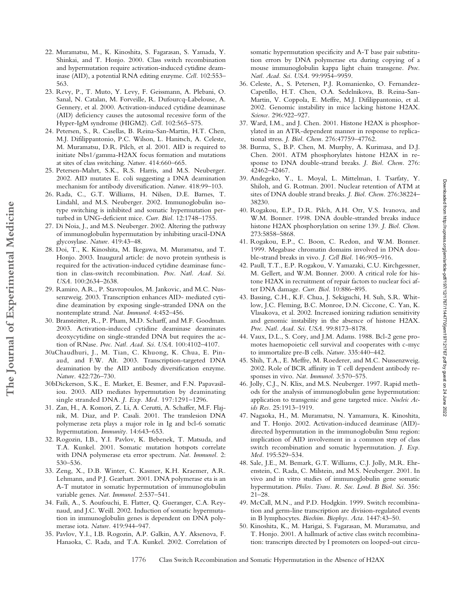- 22. Muramatsu, M., K. Kinoshita, S. Fagarasan, S. Yamada, Y. Shinkai, and T. Honjo. 2000. Class switch recombination and hypermutation require activation-induced cytidine deaminase (AID), a potential RNA editing enzyme. *Cell.* 102:553– 563.
- 23. Revy, P., T. Muto, Y. Levy, F. Geissmann, A. Plebani, O. Sanal, N. Catalan, M. Forveille, R. Dufourcq-Labelouse, A. Gennery, et al. 2000. Activation-induced cytidine deaminase (AID) deficiency causes the autosomal recessive form of the Hyper-IgM syndrome (HIGM2). *Cell.* 102:565–575.
- 24. Petersen, S., R. Casellas, B. Reina-San-Martin, H.T. Chen, M.J. Difilippantonio, P.C. Wilson, L. Hanitsch, A. Celeste, M. Muramatsu, D.R. Pilch, et al. 2001. AID is required to initiate Nbs1/gamma-H2AX focus formation and mutations at sites of class switching. *Nature.* 414:660–665.
- 25. Petersen-Mahrt, S.K., R.S. Harris, and M.S. Neuberger. 2002. AID mutates E. coli suggesting a DNA deamination mechanism for antibody diversification. *Nature.* 418:99–103.
- 26. Rada, C., G.T. Williams, H. Nilsen, D.E. Barnes, T. Lindahl, and M.S. Neuberger. 2002. Immunoglobulin isotype switching is inhibited and somatic hypermutation perturbed in UNG-deficient mice. *Curr. Biol.* 12:1748–1755.
- 27. Di Noia, J., and M.S. Neuberger. 2002. Altering the pathway of immunoglobulin hypermutation by inhibiting uracil-DNA glycosylase. *Nature.* 419:43–48.
- 28. Doi, T., K. Kinoshita, M. Ikegawa, M. Muramatsu, and T. Honjo. 2003. Inaugural article: de novo protein synthesis is required for the activation-induced cytidine deaminase function in class-switch recombination. *Proc. Natl. Acad. Sci. USA.* 100:2634–2638.
- 29. Ramiro, A.R., P. Stavropoulos, M. Jankovic, and M.C. Nussenzweig. 2003. Transcription enhances AID- mediated cytidine deamination by exposing single-stranded DNA on the nontemplate strand. *Nat. Immunol.* 4:452–456.
- 30. Bransteitter, R., P. Pham, M.D. Scharff, and M.F. Goodman. 2003. Activation-induced cytidine deaminase deaminates deoxycytidine on single-stranded DNA but requires the action of RNase. *Proc. Natl. Acad. Sci. USA*. 100:4102–4107.
- 30aChaudhuri, J., M. Tian, C. Khuong, K. Chua, E. Pinaud, and F.W. Alt. 2003. Transcription-targeted DNA deamination by the AID antibody diversification enzyme. *Nature.* 422:726–730.
- 30bDickerson, S.K., E. Market, E. Besmer, and F.N. Papavasiliou. 2003. AID mediates hypermutation by deaminating single stranded DNA. *J. Exp. Med.* 197:1291–1296.
- 31. Zan, H., A. Komori, Z. Li, A. Cerutti, A. Schaffer, M.F. Flajnik, M. Diaz, and P. Casali. 2001. The translesion DNA polymerase zeta plays a major role in Ig and bcl-6 somatic hypermutation. *Immunity.* 14:643–653.
- 32. Rogozin, I.B., Y.I. Pavlov, K. Bebenek, T. Matsuda, and T.A. Kunkel. 2001. Somatic mutation hotspots correlate with DNA polymerase eta error spectrum. *Nat. Immunol.* 2: 530–536.
- 33. Zeng, X., D.B. Winter, C. Kasmer, K.H. Kraemer, A.R. Lehmann, and P.J. Gearhart. 2001. DNA polymerase eta is an A-T mutator in somatic hypermutation of immunoglobulin variable genes. *Nat. Immunol.* 2:537–541.
- 34. Faili, A., S. Aoufouchi, E. Flatter, Q. Gueranger, C.A. Reynaud, and J.C. Weill. 2002. Induction of somatic hypermutation in immunoglobulin genes is dependent on DNA polymerase iota. *Nature.* 419:944–947.
- 35. Pavlov, Y.I., I.B. Rogozin, A.P. Galkin, A.Y. Aksenova, F. Hanaoka, C. Rada, and T.A. Kunkel. 2002. Correlation of

somatic hypermutation specificity and A-T base pair substitution errors by DNA polymerase eta during copying of a mouse immunoglobulin kappa light chain transgene. *Proc. Natl. Acad. Sci. USA.* 99:9954–9959.

- 36. Celeste, A., S. Petersen, P.J. Romanienko, O. Fernandez-Capetillo, H.T. Chen, O.A. Sedelnikova, B. Reina-San-Martin, V. Coppola, E. Meffre, M.J. Difilippantonio, et al. 2002. Genomic instability in mice lacking histone H2AX. *Science.* 296:922–927.
- 37. Ward, I.M., and J. Chen. 2001. Histone H2AX is phosphorylated in an ATR-dependent manner in response to replicational stress. *J. Biol. Chem.* 276:47759–47762.
- 38. Burma, S., B.P. Chen, M. Murphy, A. Kurimasa, and D.J. Chen. 2001. ATM phosphorylates histone H2AX in response to DNA double-strand breaks. *J. Biol. Chem.* 276: 42462–42467.
- 39. Andegeko, Y., L. Moyal, L. Mittelman, I. Tsarfaty, Y. Shiloh, and G. Rotman. 2001. Nuclear retention of ATM at sites of DNA double strand breaks. *J. Biol. Chem.* 276:38224– 38230.
- 40. Rogakou, E.P., D.R. Pilch, A.H. Orr, V.S. Ivanova, and W.M. Bonner. 1998. DNA double-stranded breaks induce histone H2AX phosphorylation on serine 139. *J. Biol. Chem.* 273:5858–5868.
- 41. Rogakou, E.P., C. Boon, C. Redon, and W.M. Bonner. 1999. Megabase chromatin domains involved in DNA double-strand breaks in vivo. *J. Cell Biol.* 146:905–916.
- 42. Paull, T.T., E.P. Rogakou, V. Yamazaki, C.U. Kirchgessner, M. Gellert, and W.M. Bonner. 2000. A critical role for histone H2AX in recruitment of repair factors to nuclear foci after DNA damage. *Curr. Biol.* 10:886–895.
- 43. Bassing, C.H., K.F. Chua, J. Sekiguchi, H. Suh, S.R. Whitlow, J.C. Fleming, B.C. Monroe, D.N. Ciccone, C. Yan, K. Vlasakova, et al. 2002. Increased ionizing radiation sensitivity and genomic instability in the absence of histone H2AX. *Proc. Natl. Acad. Sci. USA.* 99:8173–8178.
- 44. Vaux, D.L., S. Cory, and J.M. Adams. 1988. Bcl-2 gene promotes haemopoietic cell survival and cooperates with c-myc to immortalize pre-B cells. *Nature.* 335:440–442.
- 45. Shih, T.A., E. Meffre, M. Roederer, and M.C. Nussenzweig. 2002. Role of BCR affinity in T cell dependent antibody responses in vivo. *Nat. Immunol.* 3:570–575.
- 46. Jolly, C.J., N. Klix, and M.S. Neuberger. 1997. Rapid methods for the analysis of immunoglobulin gene hypermutation: application to transgenic and gene targeted mice. *Nucleic Acids Res.* 25:1913–1919.
- 47. Nagaoka, H., M. Muramatsu, N. Yamamura, K. Kinoshita, and T. Honjo. 2002. Activation-induced deaminase (AID) directed hypermutation in the immunoglobulin Smu region: implication of AID involvement in a common step of class switch recombination and somatic hypermutation. *J. Exp. Med.* 195:529–534.
- 48. Sale, J.E., M. Bemark, G.T. Williams, C.J. Jolly, M.R. Ehrenstein, C. Rada, C. Milstein, and M.S. Neuberger. 2001. In vivo and in vitro studies of immunoglobulin gene somatic hypermutation. *Philos. Trans. R. Soc. Lond. B Biol. Sci.* 356: 21–28.
- 49. McCall, M.N., and P.D. Hodgkin. 1999. Switch recombination and germ-line transcription are division-regulated events in B lymphocytes. *Biochim. Biophys. Acta.* 1447:43–50.
- 50. Kinoshita, K., M. Harigai, S. Fagarasan, M. Muramatsu, and T. Honjo. 2001. A hallmark of active class switch recombination: transcripts directed by I promoters on looped-out circu-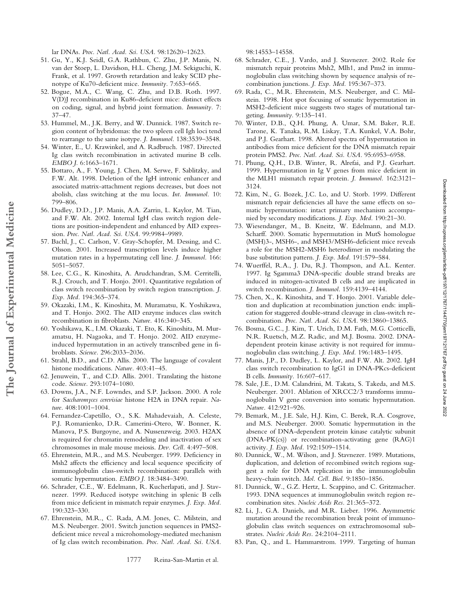lar DNAs. *Proc. Natl. Acad. Sci. USA.* 98:12620–12623.

- 51. Gu, Y., K.J. Seidl, G.A. Rathbun, C. Zhu, J.P. Manis, N. van der Stoep, L. Davidson, H.L. Cheng, J.M. Sekiguchi, K. Frank, et al. 1997. Growth retardation and leaky SCID phenotype of Ku70-deficient mice. *Immunity.* 7:653–665.
- 52. Bogue, M.A., C. Wang, C. Zhu, and D.B. Roth. 1997. V(D)J recombination in Ku86-deficient mice: distinct effects on coding, signal, and hybrid joint formation. *Immunity.* 7: 37–47.
- 53. Hummel, M., J.K. Berry, and W. Dunnick. 1987. Switch region content of hybridomas: the two spleen cell Igh loci tend to rearrange to the same isotype. *J. Immunol.* 138:3539–3548.
- 54. Winter, E., U. Krawinkel, and A. Radbruch. 1987. Directed Ig class switch recombination in activated murine B cells. *EMBO J.* 6:1663–1671.
- 55. Bottaro, A., F. Young, J. Chen, M. Serwe, F. Sablitzky, and F.W. Alt. 1998. Deletion of the IgH intronic enhancer and associated matrix-attachment regions decreases, but does not abolish, class switching at the mu locus. *Int. Immunol.* 10: 799–806.
- 56. Dudley, D.D., J.P. Manis, A.A. Zarrin, L. Kaylor, M. Tian, and F.W. Alt. 2002. Internal IgH class switch region deletions are position-independent and enhanced by AID expression. *Proc. Natl. Acad. Sci. USA.* 99:9984–9989.
- 57. Bachl, J., C. Carlson, V. Gray-Schopfer, M. Dessing, and C. Olsson. 2001. Increased transcription levels induce higher mutation rates in a hypermutating cell line. *J. Immunol.* 166: 5051–5057.
- 58. Lee, C.G., K. Kinoshita, A. Arudchandran, S.M. Cerritelli, R.J. Crouch, and T. Honjo. 2001. Quantitative regulation of class switch recombination by switch region transcription. *J. Exp. Med.* 194:365–374.

**The Journal of Experimental Medicine**

The Journal of Experimental Medicine

- 59. Okazaki, I.M., K. Kinoshita, M. Muramatsu, K. Yoshikawa, and T. Honjo. 2002. The AID enzyme induces class switch recombination in fibroblasts. *Nature.* 416:340–345.
- 60. Yoshikawa, K., I.M. Okazaki, T. Eto, K. Kinoshita, M. Muramatsu, H. Nagaoka, and T. Honjo. 2002. AID enzymeinduced hypermutation in an actively transcribed gene in fibroblasts. *Science.* 296:2033–2036.
- 61. Strahl, B.D., and C.D. Allis. 2000. The language of covalent histone modifications. *Nature.* 403:41–45.
- 62. Jenuwein, T., and C.D. Allis. 2001. Translating the histone code. *Science.* 293:1074–1080.
- 63. Downs, J.A., N.F. Lowndes, and S.P. Jackson. 2000. A role for *Saccharomyces cerevisiae* histone H2A in DNA repair. *Nature.* 408:1001–1004.
- 64. Fernandez-Capetillo, O., S.K. Mahadevaiah, A. Celeste, P.J. Romanienko, D.R. Camerini-Otero, W. Bonner, K. Manova, P.S. Burgoyne, and A. Nussenzweig. 2003. H2AX is required for chromatin remodeling and inactivation of sex chromosomes in male mouse meiosis. *Dev. Cell.* 4:497–508.
- 65. Ehrenstein, M.R., and M.S. Neuberger. 1999. Deficiency in Msh2 affects the efficiency and local sequence specificity of immunoglobulin class-switch recombination: parallels with somatic hypermutation. *EMBO J.* 18:3484–3490.
- 66. Schrader, C.E., W. Edelmann, R. Kucherlapati, and J. Stavnezer. 1999. Reduced isotype switching in splenic B cells from mice deficient in mismatch repair enzymes. *J. Exp. Med.* 190:323–330.
- 67. Ehrenstein, M.R., C. Rada, A.M. Jones, C. Milstein, and M.S. Neuberger. 2001. Switch junction sequences in PMS2 deficient mice reveal a microhomology-mediated mechanism of Ig class switch recombination. *Proc. Natl. Acad. Sci. USA.*

98:14553–14558.

- 68. Schrader, C.E., J. Vardo, and J. Stavnezer. 2002. Role for mismatch repair proteins Msh2, Mlh1, and Pms2 in immunoglobulin class switching shown by sequence analysis of recombination junctions. *J. Exp. Med.* 195:367–373.
- 69. Rada, C., M.R. Ehrenstein, M.S. Neuberger, and C. Milstein. 1998. Hot spot focusing of somatic hypermutation in MSH2-deficient mice suggests two stages of mutational targeting. *Immunity.* 9:135–141.
- 70. Winter, D.B., Q.H. Phung, A. Umar, S.M. Baker, R.E. Tarone, K. Tanaka, R.M. Liskay, T.A. Kunkel, V.A. Bohr, and P.J. Gearhart. 1998. Altered spectra of hypermutation in antibodies from mice deficient for the DNA mismatch repair protein PMS2. *Proc. Natl. Acad. Sci. USA.* 95:6953–6958.
- 71. Phung, Q.H., D.B. Winter, R. Alrefai, and P.J. Gearhart. 1999. Hypermutation in Ig V genes from mice deficient in the MLH1 mismatch repair protein. *J. Immunol.* 162:3121– 3124.
- 72. Kim, N., G. Bozek, J.C. Lo, and U. Storb. 1999. Different mismatch repair deficiencies all have the same effects on somatic hypermutation: intact primary mechanism accompanied by secondary modifications. *J. Exp. Med.* 190:21–30.
- 73. Wiesendanger, M., B. Kneitz, W. Edelmann, and M.D. Scharff. 2000. Somatic hypermutation in MutS homologue (MSH)3-, MSH6-, and MSH3/MSH6-deficient mice reveals a role for the MSH2-MSH6 heterodimer in modulating the base substitution pattern. *J. Exp. Med.* 191:579–584.
- 74. Wuerffel, R.A., J. Du, R.J. Thompson, and A.L. Kenter. 1997. Ig Sgamma3 DNA-specific double strand breaks are induced in mitogen-activated B cells and are implicated in switch recombination. *J. Immunol.* 159:4139–4144.
- 75. Chen, X., K. Kinoshita, and T. Honjo. 2001. Variable deletion and duplication at recombination junction ends: implication for staggered double-strand cleavage in class-switch recombination. *Proc. Natl. Acad. Sci. USA.* 98:13860–13865.
- 76. Bosma, G.C., J. Kim, T. Urich, D.M. Fath, M.G. Cotticelli, N.R. Ruetsch, M.Z. Radic, and M.J. Bosma. 2002. DNAdependent protein kinase activity is not required for immunoglobulin class switching. *J. Exp. Med.* 196:1483–1495.
- 77. Manis, J.P., D. Dudley, L. Kaylor, and F.W. Alt. 2002. IgH class switch recombination to IgG1 in DNA-PKcs-deficient B cells. *Immunity.* 16:607–617.
- 78. Sale, J.E., D.M. Calandrini, M. Takata, S. Takeda, and M.S. Neuberger. 2001. Ablation of XRCC2/3 transforms immunoglobulin V gene conversion into somatic hypermutation. *Nature.* 412:921–926.
- 79. Bemark, M., J.E. Sale, H.J. Kim, C. Berek, R.A. Cosgrove, and M.S. Neuberger. 2000. Somatic hypermutation in the absence of DNA-dependent protein kinase catalytic subunit (DNA-PK(cs)) or recombination-activating gene (RAG)1 activity. *J. Exp. Med.* 192:1509–1514.
- 80. Dunnick, W., M. Wilson, and J. Stavnezer. 1989. Mutations, duplication, and deletion of recombined switch regions suggest a role for DNA replication in the immunoglobulin heavy-chain switch. *Mol. Cell. Biol.* 9:1850–1856.
- 81. Dunnick, W., G.Z. Hertz, L. Scappino, and C. Gritzmacher. 1993. DNA sequences at immunoglobulin switch region recombination sites. *Nucleic Acids Res.* 21:365–372.
- 82. Li, J., G.A. Daniels, and M.R. Lieber. 1996. Asymmetric mutation around the recombination break point of immunoglobulin class switch sequences on extrachromosomal substrates. *Nucleic Acids Res.* 24:2104–2111.
- 83. Pan, Q., and L. Hammarstrom. 1999. Targeting of human